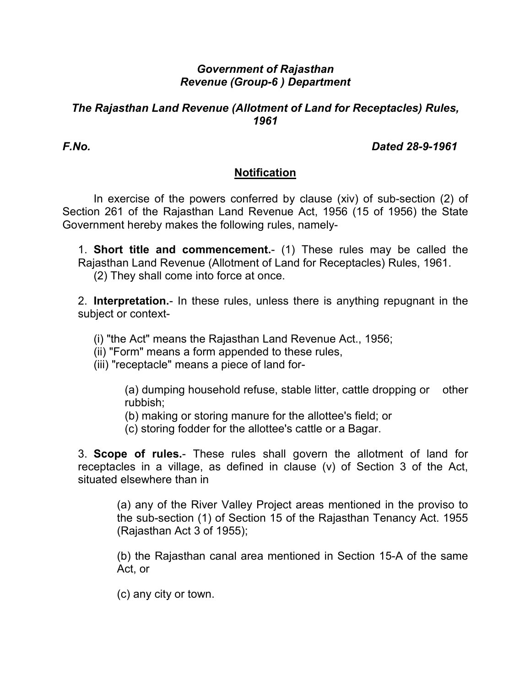## *Government of Rajasthan Revenue (Group-6 ) Department*

#### *The Rajasthan Land Revenue (Allotment of Land for Receptacles) Rules, 1961*

*F.No. Dated 28-9-1961* 

## **Notification**

 In exercise of the powers conferred by clause (xiv) of sub-section (2) of Section 261 of the Rajasthan Land Revenue Act, 1956 (15 of 1956) the State Government hereby makes the following rules, namely-

1. **Short title and commencement.**- (1) These rules may be called the Rajasthan Land Revenue (Allotment of Land for Receptacles) Rules, 1961.

(2) They shall come into force at once.

2. **Interpretation.**- In these rules, unless there is anything repugnant in the subject or context-

(i) "the Act" means the Rajasthan Land Revenue Act., 1956;

(ii) "Form" means a form appended to these rules,

(iii) "receptacle" means a piece of land for-

(a) dumping household refuse, stable litter, cattle dropping or other rubbish;

(b) making or storing manure for the allottee's field; or

(c) storing fodder for the allottee's cattle or a Bagar.

3. **Scope of rules.**- These rules shall govern the allotment of land for receptacles in a village, as defined in clause (v) of Section 3 of the Act, situated elsewhere than in

(a) any of the River Valley Project areas mentioned in the proviso to the sub-section (1) of Section 15 of the Rajasthan Tenancy Act. 1955 (Rajasthan Act 3 of 1955);

(b) the Rajasthan canal area mentioned in Section 15-A of the same Act, or

(c) any city or town.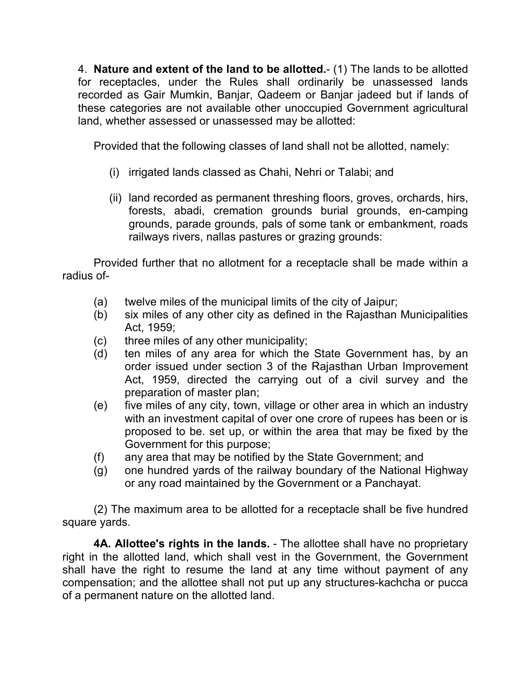4. **Nature and extent of the land to be allotted.**- (1) The lands to be allotted for receptacles, under the Rules shall ordinarily be unassessed lands recorded as Gair Mumkin, Banjar, Qadeem or Banjar jadeed but if lands of these categories are not available other unoccupied Government agricultural land, whether assessed or unassessed may be allotted:

Provided that the following classes of land shall not be allotted, namely:

- (i) irrigated lands classed as Chahi, Nehri or Talabi; and
- (ii) land recorded as permanent threshing floors, groves, orchards, hirs, forests, abadi, cremation grounds burial grounds, en-camping grounds, parade grounds, pals of some tank or embankment, roads railways rivers, nallas pastures or grazing grounds:

 Provided further that no allotment for a receptacle shall be made within a radius of-

- (a) twelve miles of the municipal limits of the city of Jaipur;
- (b) six miles of any other city as defined in the Rajasthan Municipalities Act, 1959;
- (c) three miles of any other municipality;
- (d) ten miles of any area for which the State Government has, by an order issued under section 3 of the Rajasthan Urban Improvement Act, 1959, directed the carrying out of a civil survey and the preparation of master plan;
- (e) five miles of any city, town, village or other area in which an industry with an investment capital of over one crore of rupees has been or is proposed to be. set up, or within the area that may be fixed by the Government for this purpose;
- (f) any area that may be notified by the State Government; and
- (g) one hundred yards of the railway boundary of the National Highway or any road maintained by the Government or a Panchayat.

 (2) The maximum area to be allotted for a receptacle shall be five hundred square yards.

 **4A. Allottee's rights in the lands.** - The allottee shall have no proprietary right in the allotted land, which shall vest in the Government, the Government shall have the right to resume the land at any time without payment of any compensation; and the allottee shall not put up any structures-kachcha or pucca of a permanent nature on the allotted land.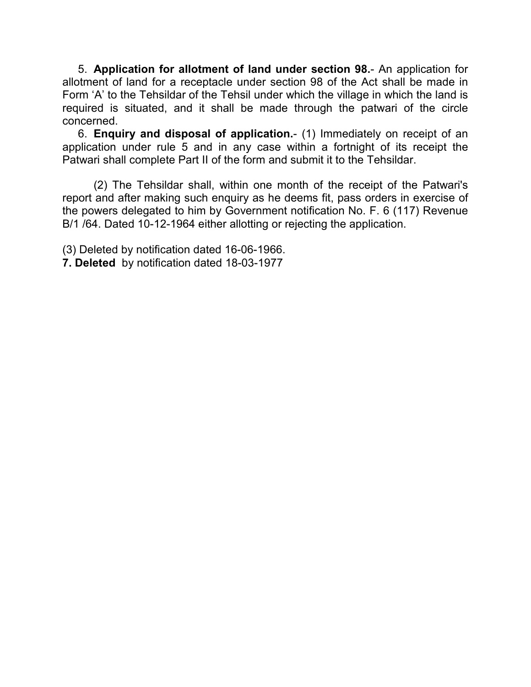5. **Application for allotment of land under section 98.**- An application for allotment of land for a receptacle under section 98 of the Act shall be made in Form 'A' to the Tehsildar of the Tehsil under which the village in which the land is required is situated, and it shall be made through the patwari of the circle concerned.

6. **Enquiry and disposal of application.**- (1) Immediately on receipt of an application under rule 5 and in any case within a fortnight of its receipt the Patwari shall complete Part II of the form and submit it to the Tehsildar.

 (2) The Tehsildar shall, within one month of the receipt of the Patwari's report and after making such enquiry as he deems fit, pass orders in exercise of the powers delegated to him by Government notification No. F. 6 (117) Revenue B/1 /64. Dated 10-12-1964 either allotting or rejecting the application.

(3) Deleted by notification dated 16-06-1966. **7. Deleted** by notification dated 18-03-1977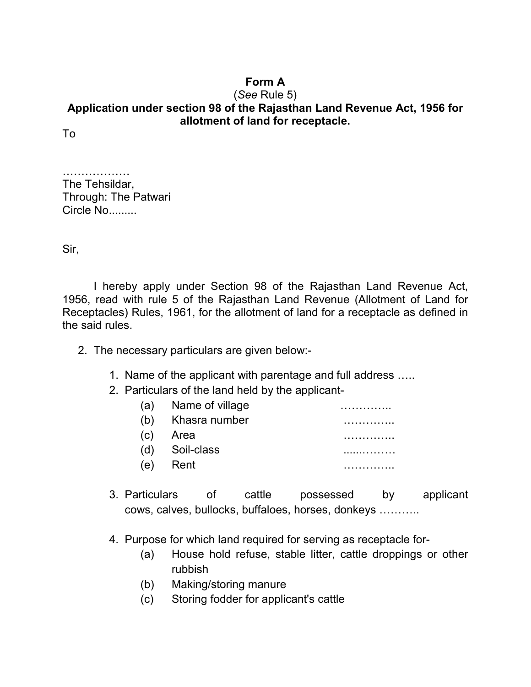## **Form A**

### (*See* Rule 5) **Application under section 98 of the Rajasthan Land Revenue Act, 1956 for allotment of land for receptacle.**

To

…………………… The Tehsildar, Through: The Patwari Circle No.........

Sir,

 I hereby apply under Section 98 of the Rajasthan Land Revenue Act, 1956, read with rule 5 of the Rajasthan Land Revenue (Allotment of Land for Receptacles) Rules, 1961, for the allotment of land for a receptacle as defined in the said rules.

- 2. The necessary particulars are given below:-
	- 1. Name of the applicant with parentage and full address …..
	- 2. Particulars of the land held by the applicant-

| (a) | Name of village |  |
|-----|-----------------|--|
| (b) | Khasra number   |  |
| (C) | Area            |  |
| (d) | Soil-class      |  |
| (e) | Rent            |  |
|     |                 |  |

- 3. Particulars of cattle possessed by applicant cows, calves, bullocks, buffaloes, horses, donkeys ………..
- 4. Purpose for which land required for serving as receptacle for-
	- (a) House hold refuse, stable litter, cattle droppings or other rubbish
	- (b) Making/storing manure
	- (c) Storing fodder for applicant's cattle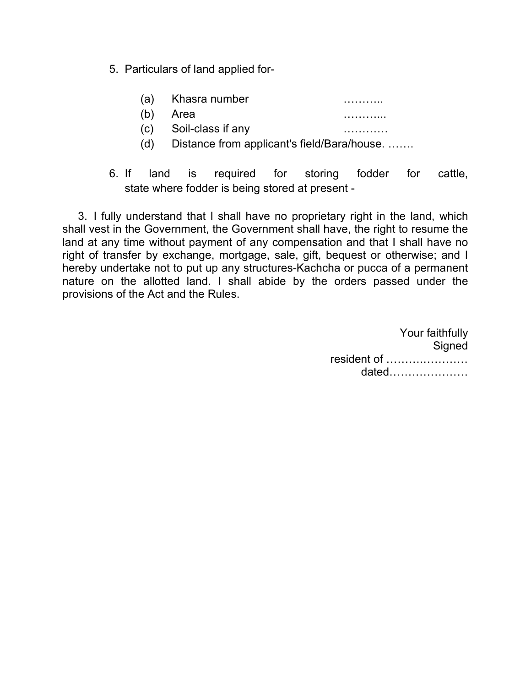- 5. Particulars of land applied for-
	- (a) Khasra number ………..
	- (b) Area ………...
	- (c) Soil-class if any …………
	- (d) Distance from applicant's field/Bara/house. …….
- 6. If land is required for storing fodder for cattle, state where fodder is being stored at present -

3. I fully understand that I shall have no proprietary right in the land, which shall vest in the Government, the Government shall have, the right to resume the land at any time without payment of any compensation and that I shall have no right of transfer by exchange, mortgage, sale, gift, bequest or otherwise; and I hereby undertake not to put up any structures-Kachcha or pucca of a permanent nature on the allotted land. I shall abide by the orders passed under the provisions of the Act and the Rules.

> Your faithfully **Signed** resident of ……….………… dated…………………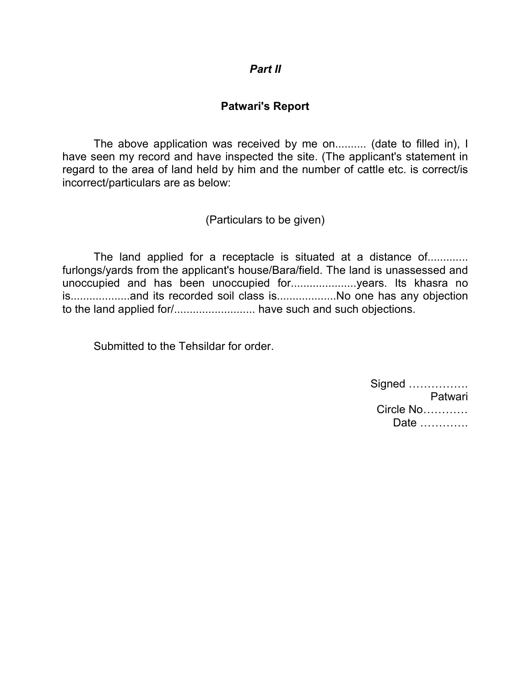#### *Part II*

## **Patwari's Report**

 The above application was received by me on.......... (date to filled in), I have seen my record and have inspected the site. (The applicant's statement in regard to the area of land held by him and the number of cattle etc. is correct/is incorrect/particulars are as below:

(Particulars to be given)

The land applied for a receptacle is situated at a distance of............. furlongs/yards from the applicant's house/Bara/field. The land is unassessed and unoccupied and has been unoccupied for.....................years. Its khasra no is...................and its recorded soil class is...................No one has any objection to the land applied for/.......................... have such and such objections.

Submitted to the Tehsildar for order.

| Patwari   |
|-----------|
| Circle No |
| Date      |